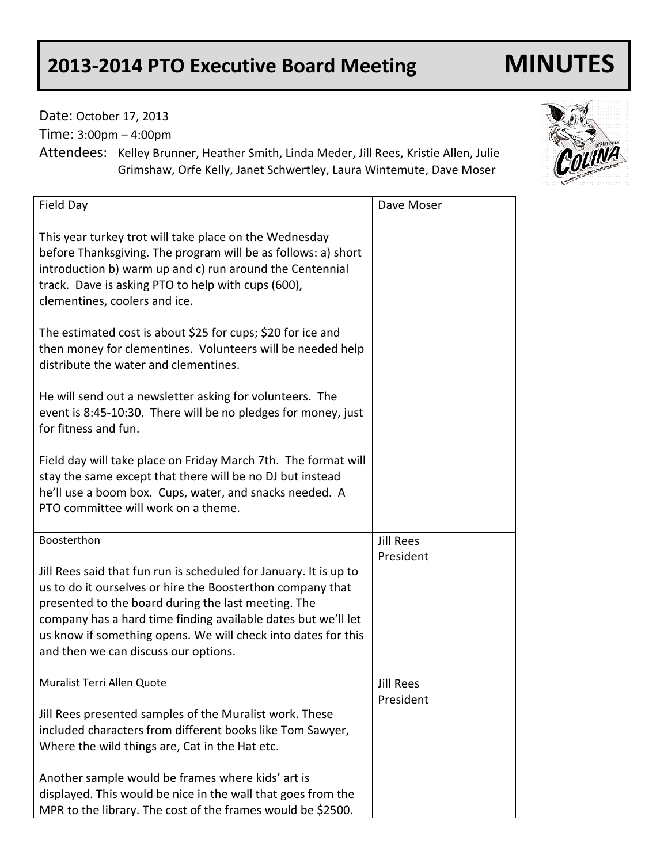## **2013-2014 PTO Executive Board Meeting MINUTES**

Date: October 17, 2013

Time: 3:00pm – 4:00pm

Attendees: Kelley Brunner, Heather Smith, Linda Meder, Jill Rees, Kristie Allen, Julie Grimshaw, Orfe Kelly, Janet Schwertley, Laura Wintemute, Dave Moser

| Field Day                                                                                                                                                                                                                                                                                                                                                        | Dave Moser       |
|------------------------------------------------------------------------------------------------------------------------------------------------------------------------------------------------------------------------------------------------------------------------------------------------------------------------------------------------------------------|------------------|
| This year turkey trot will take place on the Wednesday<br>before Thanksgiving. The program will be as follows: a) short<br>introduction b) warm up and c) run around the Centennial<br>track. Dave is asking PTO to help with cups (600),<br>clementines, coolers and ice.                                                                                       |                  |
| The estimated cost is about \$25 for cups; \$20 for ice and<br>then money for clementines. Volunteers will be needed help<br>distribute the water and clementines.                                                                                                                                                                                               |                  |
| He will send out a newsletter asking for volunteers. The<br>event is 8:45-10:30. There will be no pledges for money, just<br>for fitness and fun.                                                                                                                                                                                                                |                  |
| Field day will take place on Friday March 7th. The format will<br>stay the same except that there will be no DJ but instead<br>he'll use a boom box. Cups, water, and snacks needed. A<br>PTO committee will work on a theme.                                                                                                                                    |                  |
| Boosterthon                                                                                                                                                                                                                                                                                                                                                      | <b>Jill Rees</b> |
| Jill Rees said that fun run is scheduled for January. It is up to<br>us to do it ourselves or hire the Boosterthon company that<br>presented to the board during the last meeting. The<br>company has a hard time finding available dates but we'll let<br>us know if something opens. We will check into dates for this<br>and then we can discuss our options. | President        |
| Muralist Terri Allen Quote                                                                                                                                                                                                                                                                                                                                       | <b>Jill Rees</b> |
| Jill Rees presented samples of the Muralist work. These<br>included characters from different books like Tom Sawyer,<br>Where the wild things are, Cat in the Hat etc.<br>Another sample would be frames where kids' art is                                                                                                                                      | President        |
| displayed. This would be nice in the wall that goes from the<br>MPR to the library. The cost of the frames would be \$2500.                                                                                                                                                                                                                                      |                  |

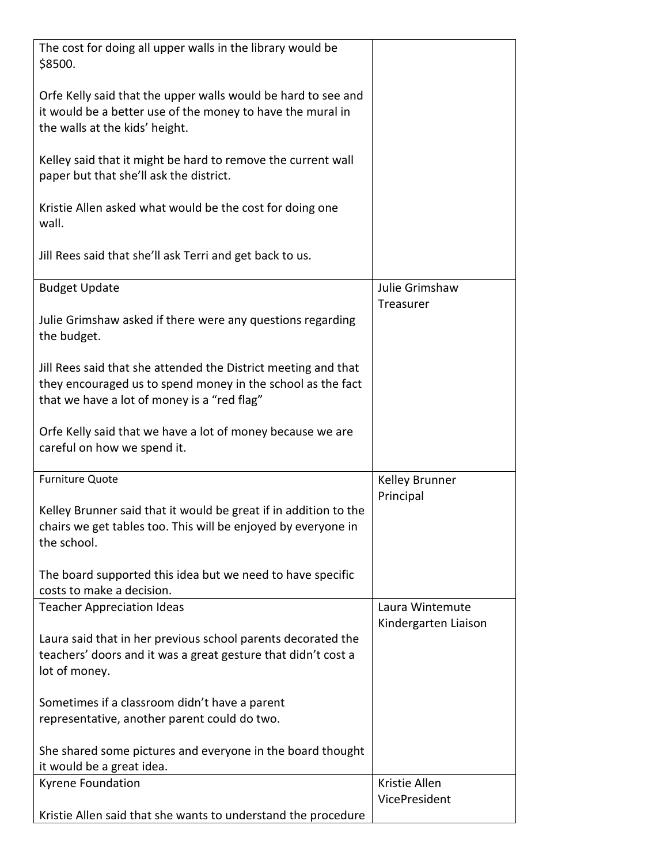| The cost for doing all upper walls in the library would be       |                             |
|------------------------------------------------------------------|-----------------------------|
| \$8500.                                                          |                             |
| Orfe Kelly said that the upper walls would be hard to see and    |                             |
| it would be a better use of the money to have the mural in       |                             |
| the walls at the kids' height.                                   |                             |
|                                                                  |                             |
| Kelley said that it might be hard to remove the current wall     |                             |
| paper but that she'll ask the district.                          |                             |
|                                                                  |                             |
| Kristie Allen asked what would be the cost for doing one         |                             |
| wall.                                                            |                             |
|                                                                  |                             |
| Jill Rees said that she'll ask Terri and get back to us.         |                             |
|                                                                  |                             |
| <b>Budget Update</b>                                             | Julie Grimshaw<br>Treasurer |
| Julie Grimshaw asked if there were any questions regarding       |                             |
| the budget.                                                      |                             |
|                                                                  |                             |
| Jill Rees said that she attended the District meeting and that   |                             |
| they encouraged us to spend money in the school as the fact      |                             |
| that we have a lot of money is a "red flag"                      |                             |
|                                                                  |                             |
| Orfe Kelly said that we have a lot of money because we are       |                             |
| careful on how we spend it.                                      |                             |
|                                                                  |                             |
| <b>Furniture Quote</b>                                           | Kelley Brunner              |
| Kelley Brunner said that it would be great if in addition to the | Principal                   |
| chairs we get tables too. This will be enjoyed by everyone in    |                             |
| the school.                                                      |                             |
|                                                                  |                             |
| The board supported this idea but we need to have specific       |                             |
| costs to make a decision.                                        |                             |
| <b>Teacher Appreciation Ideas</b>                                | Laura Wintemute             |
|                                                                  | Kindergarten Liaison        |
| Laura said that in her previous school parents decorated the     |                             |
| teachers' doors and it was a great gesture that didn't cost a    |                             |
| lot of money.                                                    |                             |
| Sometimes if a classroom didn't have a parent                    |                             |
| representative, another parent could do two.                     |                             |
|                                                                  |                             |
| She shared some pictures and everyone in the board thought       |                             |
| it would be a great idea.                                        |                             |
| Kyrene Foundation                                                | Kristie Allen               |
|                                                                  | VicePresident               |
| Kristie Allen said that she wants to understand the procedure    |                             |